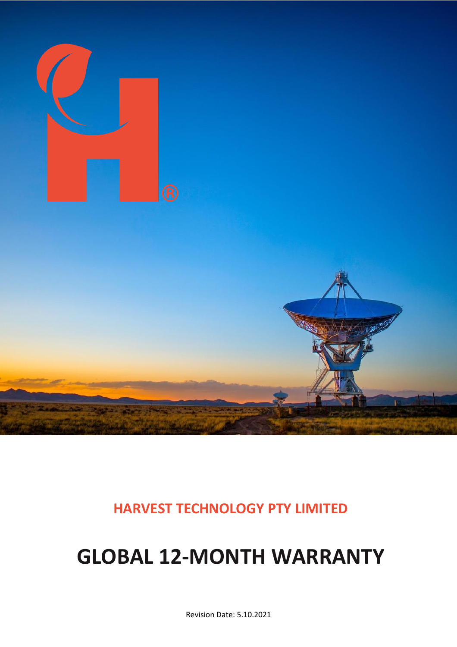

**HARVEST TECHNOLOGY PTY LIMITED**

# **GLOBAL 12-MONTH WARRANTY**

Revision Date: 5.10.2021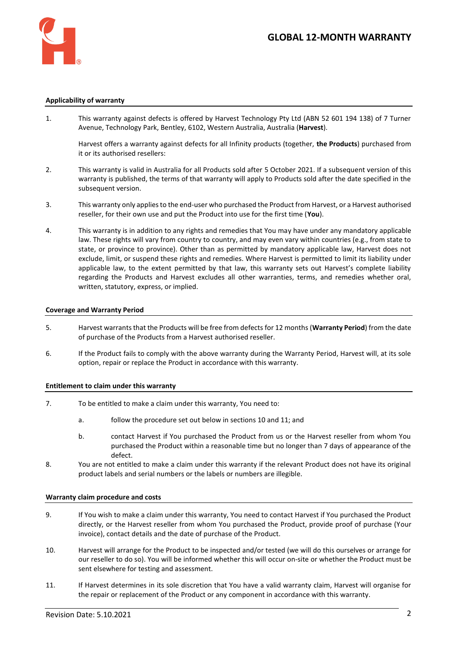

## **Applicability of warranty**

1. This warranty against defects is offered by Harvest Technology Pty Ltd (ABN 52 601 194 138) of 7 Turner Avenue, Technology Park, Bentley, 6102, Western Australia, Australia (**Harvest**).

Harvest offers a warranty against defects for all Infinity products (together, **the Products**) purchased from it or its authorised resellers:

- 2. This warranty is valid in Australia for all Products sold after 5 October 2021. If a subsequent version of this warranty is published, the terms of that warranty will apply to Products sold after the date specified in the subsequent version.
- 3. This warranty only applies to the end-user who purchased the Product from Harvest, or a Harvest authorised reseller, for their own use and put the Product into use for the first time (**You**).
- 4. This warranty is in addition to any rights and remedies that You may have under any mandatory applicable law. These rights will vary from country to country, and may even vary within countries (e.g., from state to state, or province to province). Other than as permitted by mandatory applicable law, Harvest does not exclude, limit, or suspend these rights and remedies. Where Harvest is permitted to limit its liability under applicable law, to the extent permitted by that law, this warranty sets out Harvest's complete liability regarding the Products and Harvest excludes all other warranties, terms, and remedies whether oral, written, statutory, express, or implied.

### **Coverage and Warranty Period**

- 5. Harvest warrants that the Products will be free from defects for 12 months (**Warranty Period**) from the date of purchase of the Products from a Harvest authorised reseller.
- 6. If the Product fails to comply with the above warranty during the Warranty Period, Harvest will, at its sole option, repair or replace the Product in accordance with this warranty.

#### **Entitlement to claim under this warranty**

- 7. To be entitled to make a claim under this warranty, You need to:
	- a. follow the procedure set out below in sections 10 and 11; and
	- b. contact Harvest if You purchased the Product from us or the Harvest reseller from whom You purchased the Product within a reasonable time but no longer than 7 days of appearance of the defect.
- 8. You are not entitled to make a claim under this warranty if the relevant Product does not have its original product labels and serial numbers or the labels or numbers are illegible.

#### **Warranty claim procedure and costs**

- 9. If You wish to make a claim under this warranty, You need to contact Harvest if You purchased the Product directly, or the Harvest reseller from whom You purchased the Product, provide proof of purchase (Your invoice), contact details and the date of purchase of the Product.
- 10. Harvest will arrange for the Product to be inspected and/or tested (we will do this ourselves or arrange for our reseller to do so). You will be informed whether this will occur on-site or whether the Product must be sent elsewhere for testing and assessment.
- 11. If Harvest determines in its sole discretion that You have a valid warranty claim, Harvest will organise for the repair or replacement of the Product or any component in accordance with this warranty.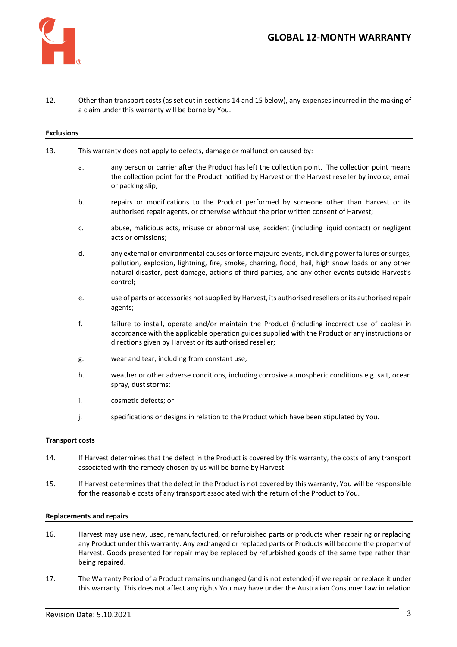

# **GLOBAL 12-MONTH WARRANTY**

12. Other than transport costs (as set out in sections 14 and 15 below), any expenses incurred in the making of a claim under this warranty will be borne by You.

#### **Exclusions**

- 13. This warranty does not apply to defects, damage or malfunction caused by:
	- a. any person or carrier after the Product has left the collection point. The collection point means the collection point for the Product notified by Harvest or the Harvest reseller by invoice, email or packing slip;
	- b. repairs or modifications to the Product performed by someone other than Harvest or its authorised repair agents, or otherwise without the prior written consent of Harvest;
	- c. abuse, malicious acts, misuse or abnormal use, accident (including liquid contact) or negligent acts or omissions;
	- d. any external or environmental causes or force majeure events, including power failures or surges, pollution, explosion, lightning, fire, smoke, charring, flood, hail, high snow loads or any other natural disaster, pest damage, actions of third parties, and any other events outside Harvest's control;
	- e. use of parts or accessories not supplied by Harvest, its authorised resellers or its authorised repair agents;
	- f. failure to install, operate and/or maintain the Product (including incorrect use of cables) in accordance with the applicable operation guides supplied with the Product or any instructions or directions given by Harvest or its authorised reseller;
	- g. wear and tear, including from constant use;
	- h. weather or other adverse conditions, including corrosive atmospheric conditions e.g. salt, ocean spray, dust storms;
	- i. cosmetic defects; or
	- j. specifications or designs in relation to the Product which have been stipulated by You.

#### **Transport costs**

- 14. If Harvest determines that the defect in the Product is covered by this warranty, the costs of any transport associated with the remedy chosen by us will be borne by Harvest.
- 15. If Harvest determines that the defect in the Product is not covered by this warranty, You will be responsible for the reasonable costs of any transport associated with the return of the Product to You.

#### **Replacements and repairs**

- 16. Harvest may use new, used, remanufactured, or refurbished parts or products when repairing or replacing any Product under this warranty. Any exchanged or replaced parts or Products will become the property of Harvest. Goods presented for repair may be replaced by refurbished goods of the same type rather than being repaired.
- 17. The Warranty Period of a Product remains unchanged (and is not extended) if we repair or replace it under this warranty. This does not affect any rights You may have under the Australian Consumer Law in relation